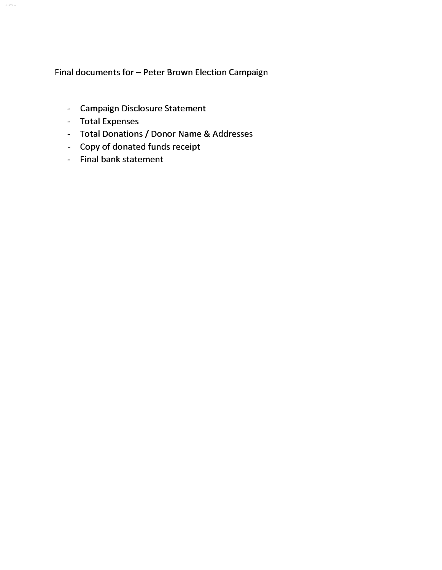### Final documents for - Peter Brown Election Campaign

- Campaign Disclosure Statement
- Total Expenses
- Total Donations/ Donor Name & Addresses
- Copy of donated funds receipt
- Final bank statement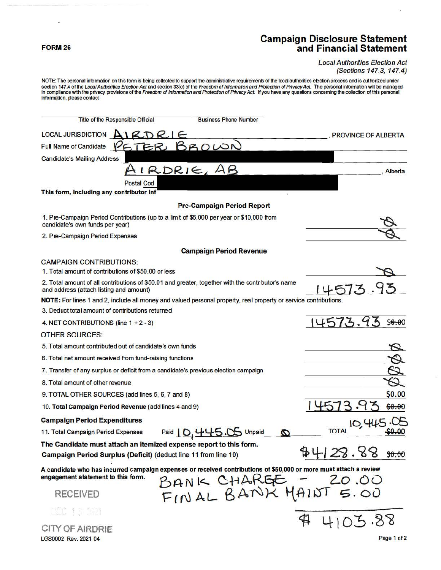### **FORM 26**

### Campaign Disclosure Statement and Financial Statement

#### Local Authorities Election Act (Sections 147.3, 147.4)

NOTE: The personal information on this form is being collected to support the administrative requirements of the local authorities election process and is authorized under section 147.4 of the *Local Authorities Election Act* and section 33(c) of the Freedom of Information and Protection of Privacy Act. The personal information will be managed<br>in compliance with the privacy provisions of the

| Title of the Responsible Official<br><b>Business Phone Number</b>                                                                                                      |                            |
|------------------------------------------------------------------------------------------------------------------------------------------------------------------------|----------------------------|
| <b>LOCAL JURISDICTION</b><br>AIRDRIE                                                                                                                                   | <b>PROVINCE OF ALBERTA</b> |
| ETER BROWN<br><b>Full Name of Candidate</b>                                                                                                                            |                            |
| <b>Candidate's Mailing Address</b>                                                                                                                                     |                            |
| IRDRIE, AB                                                                                                                                                             | Alberta                    |
| <b>Postal Cod</b>                                                                                                                                                      |                            |
| This form, including any contributor inf                                                                                                                               |                            |
| <b>Pre-Campaign Period Report</b>                                                                                                                                      |                            |
| 1. Pre-Campaign Period Contributions (up to a limit of \$5,000 per year or \$10,000 from<br>candidate's own funds per year)                                            |                            |
| 2. Pre-Campaign Period Expenses                                                                                                                                        |                            |
| <b>Campaign Period Revenue</b>                                                                                                                                         |                            |
| <b>CAMPAIGN CONTRIBUTIONS:</b>                                                                                                                                         |                            |
| 1. Total amount of contributions of \$50.00 or less                                                                                                                    |                            |
| 2. Total amount of all contributions of \$50.01 and greater, together with the contr butor's name<br>and address (attach listing and amount)                           | .3                         |
| NOTE: For lines 1 and 2, include all money and valued personal property, real property or service contributions.                                                       |                            |
| 3. Deduct total amount of contributions returned                                                                                                                       |                            |
| 4. NET CONTRIBUTIONS (line $1 + 2 - 3$ )                                                                                                                               | 14573.93<br>50.00          |
| <b>OTHER SOURCES:</b>                                                                                                                                                  |                            |
| 5. Total amount contributed out of candidate's own funds                                                                                                               |                            |
| 6. Total net amount received from fund-raising functions                                                                                                               |                            |
| 7. Transfer of any surplus or deficit from a candidate's previous election campaign                                                                                    |                            |
| 8. Total amount of other revenue                                                                                                                                       |                            |
| 9. TOTAL OTHER SOURCES (add lines 5, 6, 7 and 8)                                                                                                                       | \$0.00                     |
| 10. Total Campaign Period Revenue (add lines 4 and 9)                                                                                                                  | \$0.00                     |
| <b>Campaign Period Expenditures</b>                                                                                                                                    | 10,445                     |
| Paid   0, 445.05 Unpaid<br>11. Total Campaign Period Expenses<br>Ю                                                                                                     | <b>TOTAL</b>               |
| The Candidate must attach an itemized expense report to this form.<br>Campaign Period Surplus (Deficit) (deduct line 11 from line 10)                                  | 44128.88<br>50.00          |
| A candidate who has incurred campaign expenses or received contributions of \$50,000 or more must attach a review<br>engagement statement to this form.<br>BANK CHARGE | 20.00                      |
| FINAL BANK MAINT 5.00<br><b>RECEIVED</b>                                                                                                                               |                            |
| DOC 13 19<br>⋬                                                                                                                                                         | 4103.88                    |
| CITY OF AIRDRIE                                                                                                                                                        |                            |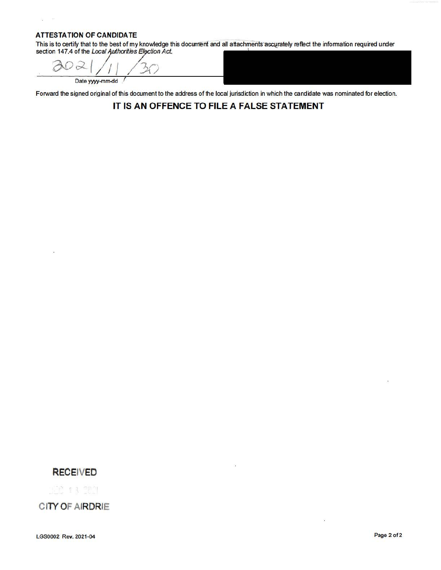### **ATTESTATION OF CANDIDA TE**

 $\hat{\boldsymbol{\beta}}_2$ 

 $\bar{\mathbf{x}}$ 

This is to certify that to the best of my knowledge this document and all attachments accurately reflect the information required under section 147.4 of the *Local Authorities Election Act.* 

 $\partial$   $\alpha$   $\beta$  / /  $\beta$  /  $\beta$ Date yyyy-mm-dd

Forward the signed original of this document to the address of the local jurisdiction in which the candidate was nominated for election.

### **IT IS AN OFFENCE TO FILE A FALSE STATEMENT**

### **RECEIVED**

IL 13 TEM

**CITY OF AIRDRIE** 

LGS0002 Rev. 2021-04 Page 2 of2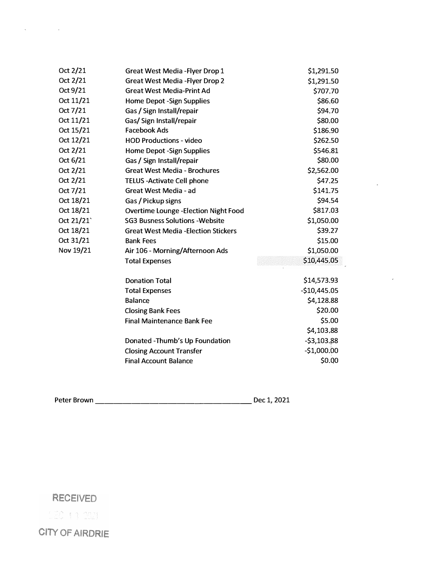| Oct 2/21  | <b>Great West Media - Flyer Drop 1</b>       | \$1,291.50    |
|-----------|----------------------------------------------|---------------|
| Oct 2/21  | <b>Great West Media - Flyer Drop 2</b>       | \$1,291.50    |
| Oct 9/21  | <b>Great West Media-Print Ad</b>             | \$707.70      |
| Oct 11/21 | <b>Home Depot -Sign Supplies</b>             | \$86.60       |
| Oct 7/21  | Gas / Sign Install/repair                    | \$94.70       |
| Oct 11/21 | Gas/ Sign Install/repair                     | \$80.00       |
| Oct 15/21 | <b>Facebook Ads</b>                          | \$186.90      |
| Oct 12/21 | <b>HOD Productions - video</b>               | \$262.50      |
| Oct 2/21  | <b>Home Depot -Sign Supplies</b>             | \$546.81      |
| Oct 6/21  | Gas / Sign Install/repair                    | \$80.00       |
| Oct 2/21  | <b>Great West Media - Brochures</b>          | \$2,562.00    |
| Oct 2/21  | <b>TELUS - Activate Cell phone</b>           | \$47.25       |
| Oct 7/21  | Great West Media - ad                        | \$141.75      |
| Oct 18/21 | Gas / Pickup signs                           | \$94.54       |
| Oct 18/21 | <b>Overtime Lounge - Election Night Food</b> | \$817.03      |
| Oct 21/21 | <b>SG3 Busness Solutions - Website</b>       | \$1,050.00    |
| Oct 18/21 | <b>Great West Media - Election Stickers</b>  | \$39.27       |
| Oct 31/21 | <b>Bank Fees</b>                             | \$15.00       |
| Nov 19/21 | Air 106 - Morning/Afternoon Ads              | \$1,050.00    |
|           | <b>Total Expenses</b>                        | \$10,445.05   |
|           | <b>Donation Total</b>                        | \$14,573.93   |
|           | <b>Total Expenses</b>                        | $-$10,445.05$ |
|           | <b>Balance</b>                               | \$4,128.88    |
|           | <b>Closing Bank Fees</b>                     | \$20.00       |
|           | <b>Final Maintenance Bank Fee</b>            | \$5.00        |
|           |                                              | \$4,103,88    |
|           | Donated - Thumb's Up Foundation              | $-53,103.88$  |
|           | <b>Closing Account Transfer</b>              | $-$1,000.00$  |
|           | <b>Final Account Balance</b>                 | \$0.00        |
|           |                                              |               |

 $\bar{z}$ 

 $\bar{x}$ 

Peter Brown \_\_\_\_\_\_\_\_\_\_\_\_\_\_\_\_\_ Dec 1, 2021

## RECEIVED

 $\mathbf{x} = \mathbf{y} \in \mathbb{R}^{d \times d}$  .

 $122 + 3221$ 

CITY OF AIRDRIE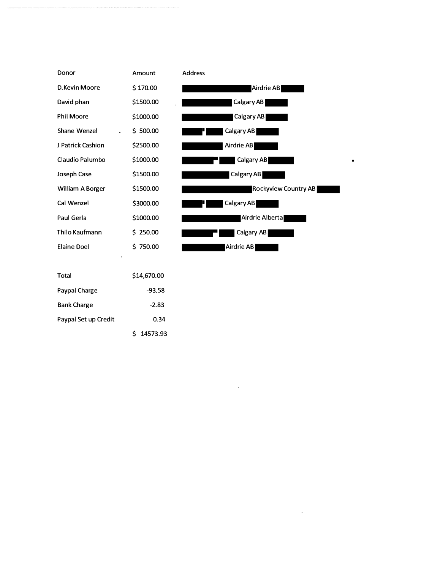| Donor                   | Amount      | <b>Address</b>       |
|-------------------------|-------------|----------------------|
| D.Kevin Moore           | \$170.00    | Airdrie AB           |
| David phan              | \$1500.00   | Calgary AB           |
| <b>Phil Moore</b>       | \$1000.00   | Calgary AB           |
| Shane Wenzel            | \$500.00    | Calgary AB           |
| J Patrick Cashion       | \$2500.00   | Airdrie AB           |
| Claudio Palumbo         | \$1000.00   | Calgary AB           |
| Joseph Case             | \$1500.00   | Calgary AB           |
| <b>William A Borger</b> | \$1500.00   | Rockyview Country AB |
| Cal Wenzel              | \$3000.00   | Calgary AB           |
| Paul Gerla              | \$1000.00   | Airdrie Alberta      |
| Thilo Kaufmann          | \$250.00    | Calgary AB           |
| <b>Elaine Doel</b>      | \$750.00    | Airdrie AB           |
|                         |             |                      |
| <b>Total</b>            | \$14,670.00 |                      |
| Paypal Charge           | $-93.58$    |                      |
| <b>Bank Charge</b>      | $-2.83$     |                      |
| Paypal Set up Credit    | 0.34        |                      |

 $\sim 100$  km s  $^{-1}$ 

 $\sim 10^{-10}$ 

 $\blacksquare$ 

\$ 14573.93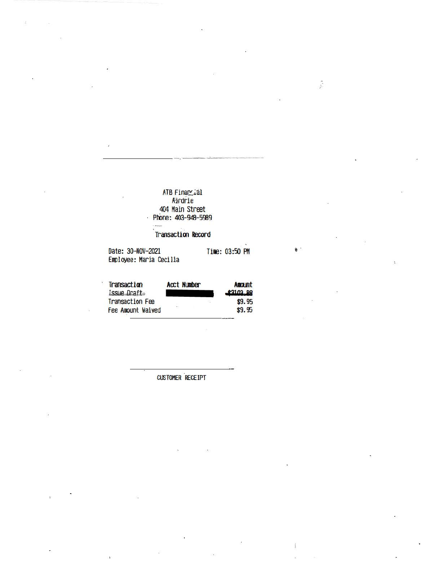## ATB Financial<br>Aardrie 404 Main Street<br>Phone: 403-948-5989

### Transaction Record

Date: 30-NOV-2021 Time: 03:50 PM Employee: Maria Cecilia

**Construct** 

| Transaction            | <b>Acct Number</b> | Amerint  |
|------------------------|--------------------|----------|
| Issue Oraft            |                    | 43103 88 |
| <b>Transaction Fee</b> |                    | \$9.95   |
| Fee Amount Waived      | 72                 | \$9.95   |

### **CUSTOMER RECEIPT**

 $\frac{1}{\sqrt{2}}$ 

ċ, ø.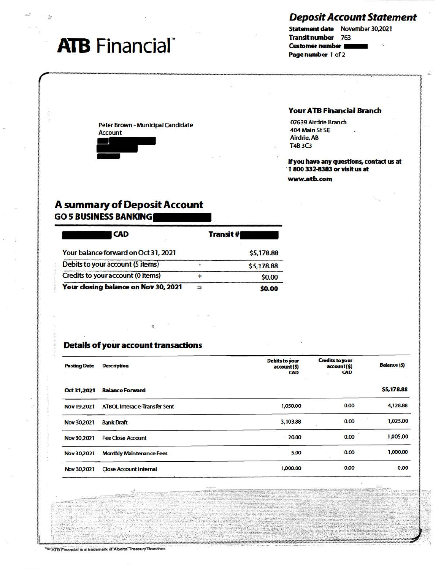## **Deposit Account Statement**

## **ATB** Financial®

### Statement date November 30,2021 **Transit number** 763 **Customer number** Page number 1 of 2

Peter Brown - Municipal Candidate **Account** 



### **Your ATB Financial Branch**

07639 Airdrie Branch 404 Main St SE Airdrie, AB T4B3C3

If you have any questions, contact us at 1 800 332-8383 or visit us at www.atb.com

## **A summary of Deposit Account GO 5 BUSINESS BANKING**

| <b>CAD</b>                           | <b>Transit#</b> |
|--------------------------------------|-----------------|
| Your balance forward on Oct 31, 2021 | \$5,178.88      |
| Debits to your account (5 items)     | \$5,178.88      |
| Credits to your account (0 items)    | \$0.00          |
| Your closing balance on Nov 30, 2021 | \$0.00          |

### **Details of your account transactions**

| <b>Posting Date</b> | <b>Description</b>                   | <b>Debits to your</b><br>account (\$)<br>CAD | <b>Credits to your</b><br>account(\$)<br><b>CAD</b> | <b>Balance (\$)</b> |
|---------------------|--------------------------------------|----------------------------------------------|-----------------------------------------------------|---------------------|
| Oct 31,2021         | <b>Balance Forward</b>               |                                              |                                                     | \$5,178.88          |
| <b>Nov 19,2021</b>  | <b>ATBOL Interac e-Transfer Sent</b> | 1,050.00                                     | 0.00                                                | 4,128.88            |
| <b>Nov 30,2021</b>  | <b>Bank Draft</b>                    | 3,103.88                                     | 0.00                                                | 1,025.00            |
| Nov 30,2021         | <b>Fee Close Account</b>             | 20.00                                        | 0.00                                                | 1,005.00            |
| Nov 30,2021         | <b>Monthly Maintenance Fees</b>      | 5.00                                         | 0.00                                                | 1,000.00            |
| Nov 30,2021         | <b>Close Account Internal</b>        | 1,000,00                                     | 0.00                                                | 0.00                |

"hi'ATB'Financial is a trademark of Alberta Treasury Branches